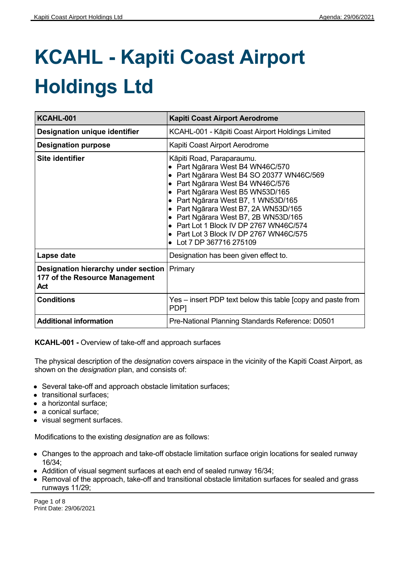# **KCAHL - Kapiti Coast Airport Holdings Ltd**

| KCAHL-001                                                                                     | <b>Kapiti Coast Airport Aerodrome</b>                                                                                                                                                                                                                                                                                                                                                                                |
|-----------------------------------------------------------------------------------------------|----------------------------------------------------------------------------------------------------------------------------------------------------------------------------------------------------------------------------------------------------------------------------------------------------------------------------------------------------------------------------------------------------------------------|
| <b>Designation unique identifier</b>                                                          | KCAHL-001 - Kāpiti Coast Airport Holdings Limited                                                                                                                                                                                                                                                                                                                                                                    |
| <b>Designation purpose</b>                                                                    | Kapiti Coast Airport Aerodrome                                                                                                                                                                                                                                                                                                                                                                                       |
| <b>Site identifier</b>                                                                        | Kāpiti Road, Paraparaumu.<br>Part Ngārara West B4 WN46C/570<br>Part Ngārara West B4 SO 20377 WN46C/569<br>Part Ngārara West B4 WN46C/576<br>Part Ngārara West B5 WN53D/165<br>Part Ngārara West B7, 1 WN53D/165<br>Part Ngārara West B7, 2A WN53D/165<br>Part Ngārara West B7, 2B WN53D/165<br>Part Lot 1 Block IV DP 2767 WN46C/574<br>Part Lot 3 Block IV DP 2767 WN46C/575<br>$\bullet$<br>Lot 7 DP 367716 275109 |
| Lapse date                                                                                    | Designation has been given effect to.                                                                                                                                                                                                                                                                                                                                                                                |
| <b>Designation hierarchy under section   Primary</b><br>177 of the Resource Management<br>Act |                                                                                                                                                                                                                                                                                                                                                                                                                      |
| <b>Conditions</b>                                                                             | Yes – insert PDP text below this table [copy and paste from<br>PDP <sub>1</sub>                                                                                                                                                                                                                                                                                                                                      |
| <b>Additional information</b>                                                                 | Pre-National Planning Standards Reference: D0501                                                                                                                                                                                                                                                                                                                                                                     |

**KCAHL-001 -** Overview of take-off and approach surfaces

The physical description of the *designation* covers airspace in the vicinity of the Kapiti Coast Airport, as shown on the *designation* plan, and consists of:

- Several take-off and approach obstacle limitation surfaces;
- transitional surfaces;
- a horizontal surface;
- a conical surface;
- visual segment surfaces.

Modifications to the existing *designation* are as follows:

- Changes to the approach and take-off obstacle limitation surface origin locations for sealed runway 16/34;
- Addition of visual segment surfaces at each end of sealed runway 16/34;
- Removal of the approach, take-off and transitional obstacle limitation surfaces for sealed and grass runways 11/29;

Page 1 of 8 Print Date: 29/06/2021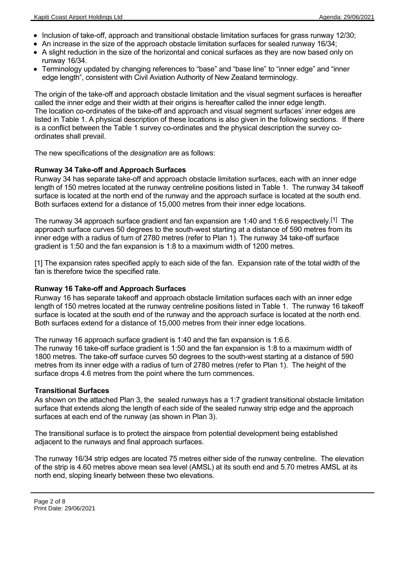- Inclusion of take-off, approach and transitional obstacle limitation surfaces for grass runway 12/30;
- An increase in the size of the approach obstacle limitation surfaces for sealed runway 16/34;
- A slight reduction in the size of the horizontal and conical surfaces as they are now based only on runway 16/34.
- Terminology updated by changing references to "base" and "base line" to "inner edge" and "inner edge length", consistent with Civil Aviation Authority of New Zealand terminology.

The origin of the take-off and approach obstacle limitation and the visual segment surfaces is hereafter called the inner edge and their width at their origins is hereafter called the inner edge length. The location co-ordinates of the take-off and approach and visual segment surfaces' inner edges are listed in Table 1. A physical description of these locations is also given in the following sections. If there is a conflict between the Table 1 survey co-ordinates and the physical description the survey coordinates shall prevail.

The new specifications of the *designation* are as follows:

# **Runway 34 Take-off and Approach Surfaces**

Runway 34 has separate take-off and approach obstacle limitation surfaces, each with an inner edge length of 150 metres located at the runway centreline positions listed in Table 1. The runway 34 takeoff surface is located at the north end of the runway and the approach surface is located at the south end. Both surfaces extend for a distance of 15,000 metres from their inner edge locations.

The runway 34 approach surface gradient and fan expansion are 1:40 and 1:6.6 respectively.<sup>[1]</sup> The approach surface curves 50 degrees to the south-west starting at a distance of 590 metres from its inner edge with a radius of turn of 2780 metres (refer to Plan 1). The runway 34 take-off surface gradient is 1:50 and the fan expansion is 1:8 to a maximum width of 1200 metres.

[1] The expansion rates specified apply to each side of the fan. Expansion rate of the total width of the fan is therefore twice the specified rate.

#### **Runway 16 Take-off and Approach Surfaces**

Runway 16 has separate takeoff and approach obstacle limitation surfaces each with an inner edge length of 150 metres located at the runway centreline positions listed in Table 1. The runway 16 takeoff surface is located at the south end of the runway and the approach surface is located at the north end. Both surfaces extend for a distance of 15,000 metres from their inner edge locations.

The runway 16 approach surface gradient is 1:40 and the fan expansion is 1:6.6.

The runway 16 take-off surface gradient is 1:50 and the fan expansion is 1:8 to a maximum width of 1800 metres. The take-off surface curves 50 degrees to the south-west starting at a distance of 590 metres from its inner edge with a radius of turn of 2780 metres (refer to Plan 1). The height of the surface drops 4.6 metres from the point where the turn commences.

#### **Transitional Surfaces**

As shown on the attached Plan 3, the sealed runways has a 1:7 gradient transitional obstacle limitation surface that extends along the length of each side of the sealed runway strip edge and the approach surfaces at each end of the runway (as shown in Plan 3).

The transitional surface is to protect the airspace from potential development being established adjacent to the runways and final approach surfaces.

The runway 16/34 strip edges are located 75 metres either side of the runway centreline. The elevation of the strip is 4.60 metres above mean sea level (AMSL) at its south end and 5.70 metres AMSL at its north end, sloping linearly between these two elevations.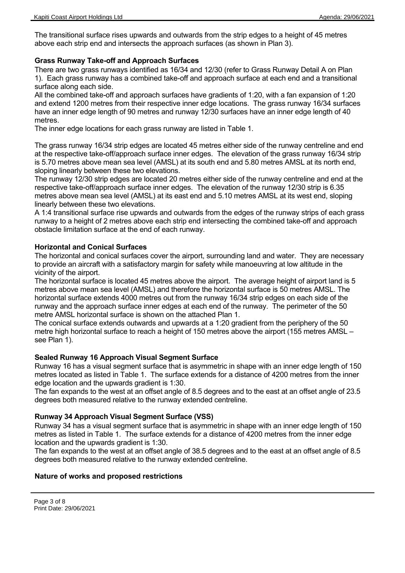The transitional surface rises upwards and outwards from the strip edges to a height of 45 metres above each strip end and intersects the approach surfaces (as shown in Plan 3).

# **Grass Runway Take-off and Approach Surfaces**

There are two grass runways identified as 16/34 and 12/30 (refer to Grass Runway Detail A on Plan 1). Each grass runway has a combined take-off and approach surface at each end and a transitional surface along each side.

All the combined take-off and approach surfaces have gradients of 1:20, with a fan expansion of 1:20 and extend 1200 metres from their respective inner edge locations. The grass runway 16/34 surfaces have an inner edge length of 90 metres and runway 12/30 surfaces have an inner edge length of 40 metres.

The inner edge locations for each grass runway are listed in Table 1.

The grass runway 16/34 strip edges are located 45 metres either side of the runway centreline and end at the respective take-off/approach surface inner edges. The elevation of the grass runway 16/34 strip is 5.70 metres above mean sea level (AMSL) at its south end and 5.80 metres AMSL at its north end, sloping linearly between these two elevations.

The runway 12/30 strip edges are located 20 metres either side of the runway centreline and end at the respective take-off/approach surface inner edges. The elevation of the runway 12/30 strip is 6.35 metres above mean sea level (AMSL) at its east end and 5.10 metres AMSL at its west end, sloping linearly between these two elevations.

A 1:4 transitional surface rise upwards and outwards from the edges of the runway strips of each grass runway to a height of 2 metres above each strip end intersecting the combined take-off and approach obstacle limitation surface at the end of each runway.

# **Horizontal and Conical Surfaces**

The horizontal and conical surfaces cover the airport, surrounding land and water. They are necessary to provide an aircraft with a satisfactory margin for safety while manoeuvring at low altitude in the vicinity of the airport.

The horizontal surface is located 45 metres above the airport. The average height of airport land is 5 metres above mean sea level (AMSL) and therefore the horizontal surface is 50 metres AMSL. The horizontal surface extends 4000 metres out from the runway 16/34 strip edges on each side of the runway and the approach surface inner edges at each end of the runway. The perimeter of the 50 metre AMSL horizontal surface is shown on the attached Plan 1.

The conical surface extends outwards and upwards at a 1:20 gradient from the periphery of the 50 metre high horizontal surface to reach a height of 150 metres above the airport (155 metres AMSL – see Plan 1).

# **Sealed Runway 16 Approach Visual Segment Surface**

Runway 16 has a visual segment surface that is asymmetric in shape with an inner edge length of 150 metres located as listed in Table 1. The surface extends for a distance of 4200 metres from the inner edge location and the upwards gradient is 1:30.

The fan expands to the west at an offset angle of 8.5 degrees and to the east at an offset angle of 23.5 degrees both measured relative to the runway extended centreline.

# **Runway 34 Approach Visual Segment Surface (VSS)**

Runway 34 has a visual segment surface that is asymmetric in shape with an inner edge length of 150 metres as listed in Table 1. The surface extends for a distance of 4200 metres from the inner edge location and the upwards gradient is 1:30.

The fan expands to the west at an offset angle of 38.5 degrees and to the east at an offset angle of 8.5 degrees both measured relative to the runway extended centreline.

# **Nature of works and proposed restrictions**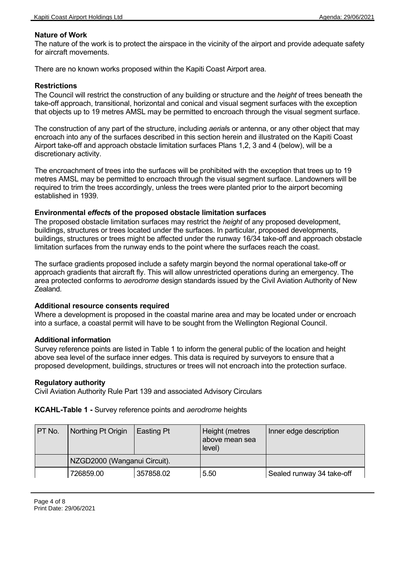# **Nature of Work**

The nature of the work is to protect the airspace in the vicinity of the airport and provide adequate safety for aircraft movements.

There are no known works proposed within the Kapiti Coast Airport area.

#### **Restrictions**

The Council will restrict the construction of any building or structure and the *height* of trees beneath the take-off approach, transitional, horizontal and conical and visual segment surfaces with the exception that objects up to 19 metres AMSL may be permitted to encroach through the visual segment surface.

The construction of any part of the structure, including *aerial*s or antenna, or any other object that may encroach into any of the surfaces described in this section herein and illustrated on the Kapiti Coast Airport take-off and approach obstacle limitation surfaces Plans 1,2, 3 and 4 (below), will be a discretionary activity.

The encroachment of trees into the surfaces will be prohibited with the exception that trees up to 19 metres AMSL may be permitted to encroach through the visual segment surface. Landowners will be required to trim the trees accordingly, unless the trees were planted prior to the airport becoming established in 1939.

#### **Environmental** *effect***s of the proposed obstacle limitation surfaces**

The proposed obstacle limitation surfaces may restrict the *height* of any proposed development, buildings, structures or trees located under the surfaces. In particular, proposed developments, buildings, structures or trees might be affected under the runway 16/34 take-off and approach obstacle limitation surfaces from the runway ends to the point where the surfaces reach the coast.

The surface gradients proposed include a safety margin beyond the normal operational take-off or approach gradients that aircraft fly. This will allow unrestricted operations during an emergency. The area protected conforms to *aerodrome* design standards issued by the Civil Aviation Authority of New Zealand.

#### **Additional resource consents required**

Where a development is proposed in the coastal marine area and may be located under or encroach into a surface, a coastal permit will have to be sought from the Wellington Regional Council.

# **Additional information**

Survey reference points are listed in Table 1 to inform the general public of the location and height above sea level of the surface inner edges. This data is required by surveyors to ensure that a proposed development, buildings, structures or trees will not encroach into the protection surface.

#### **Regulatory authority**

Civil Aviation Authority Rule Part 139 and associated Advisory Circulars

**KCAHL-Table 1 -** Survey reference points and *aerodrome* heights

| PT No. | Northing Pt Origin           | Easting Pt | Height (metres<br>above mean sea<br>level) | Inner edge description    |
|--------|------------------------------|------------|--------------------------------------------|---------------------------|
|        | NZGD2000 (Wanganui Circuit). |            |                                            |                           |
|        | 726859.00                    | 357858.02  | 5.50                                       | Sealed runway 34 take-off |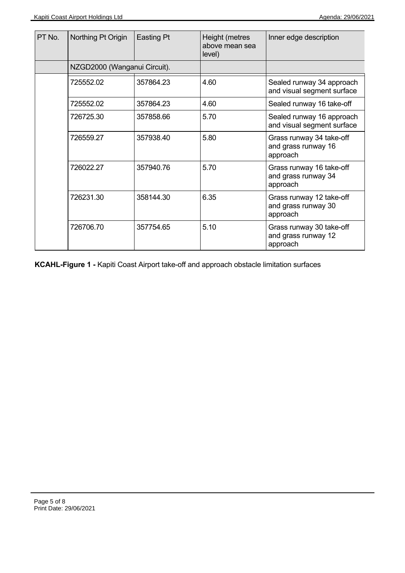| PT No. | Northing Pt Origin           | Easting Pt | Height (metres<br>above mean sea<br>level) | Inner edge description                                      |
|--------|------------------------------|------------|--------------------------------------------|-------------------------------------------------------------|
|        | NZGD2000 (Wanganui Circuit). |            |                                            |                                                             |
|        | 725552.02                    | 357864.23  | 4.60                                       | Sealed runway 34 approach<br>and visual segment surface     |
|        | 725552.02                    | 357864.23  | 4.60                                       | Sealed runway 16 take-off                                   |
|        | 726725.30                    | 357858.66  | 5.70                                       | Sealed runway 16 approach<br>and visual segment surface     |
|        | 726559.27                    | 357938.40  | 5.80                                       | Grass runway 34 take-off<br>and grass runway 16<br>approach |
|        | 726022.27                    | 357940.76  | 5.70                                       | Grass runway 16 take-off<br>and grass runway 34<br>approach |
|        | 726231.30                    | 358144.30  | 6.35                                       | Grass runway 12 take-off<br>and grass runway 30<br>approach |
|        | 726706.70                    | 357754.65  | 5.10                                       | Grass runway 30 take-off<br>and grass runway 12<br>approach |

**KCAHL-Figure 1 -** Kapiti Coast Airport take-off and approach obstacle limitation surfaces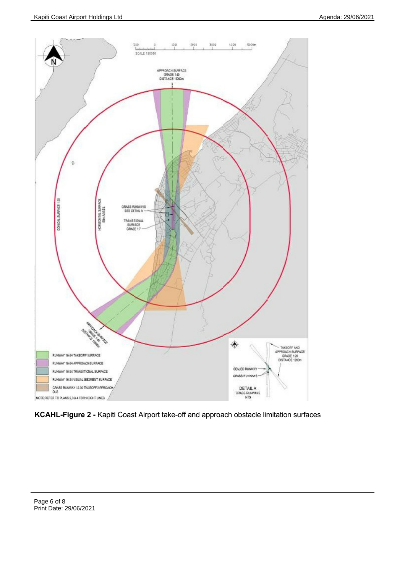

**KCAHL-Figure 2 -** Kapiti Coast Airport take-off and approach obstacle limitation surfaces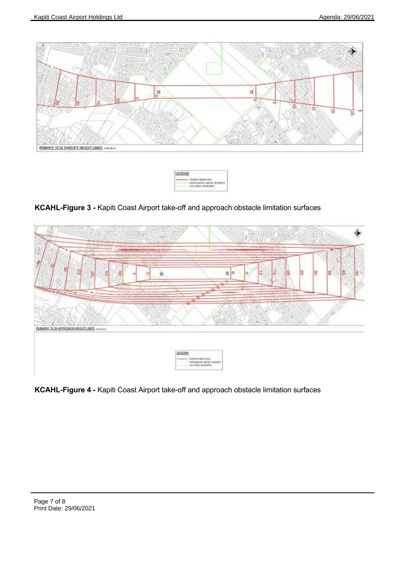



# **KCAHL-Figure 3 -** Kapiti Coast Airport take-off and approach obstacle limitation surfaces



**KCAHL-Figure 4 -** Kapiti Coast Airport take-off and approach obstacle limitation surfaces